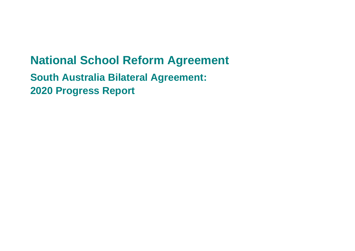# **National School Reform Agreement**

**South Australia Bilateral Agreement: 2020 Progress Report**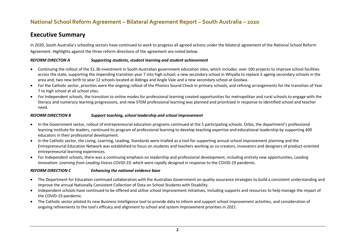#### **Executive Summary**

In 2020, South Australia's schooling sectors have continued to work to progress all agreed actions under the bilateral agreement of the National School Reform Agreement. Highlights against the three reform directions of the agreement are noted below.

#### *REFORM DIRECTON A Supporting students, student learning and student achievement*

- Continuing the rollout of the \$1.3b investment in South Australian government education sites, which includes: over 100 projects to improve school facilities across the state, supporting the impending transition year 7 into high school; a new secondary school in Whyalla to replace 3 ageing secondary schools in the area and; two new birth to year 12 schools located at Aldinga and Angle Vale and a new secondary school at Goolwa.
- For the Catholic sector, priorities were the ongoing rollout of the Phonics Sound Check in primary schools, and refining arrangements for the transition of Year 7 to high school at all school sites.
- For Independent schools, the transition to online modes for professional learning created opportunities for metropolitan and rural schools to engage with the literacy and numeracy learning progressions, and new STEM professional learning was planned and prioritised in response to identified school and teacher need.

#### *REFORM DIRECTION B Support teaching, school leadership and school improvement*

- In the Government sector, rollout of entrepreneurial education programs continued at the 5 participating schools. Orbis, the department's professional learning institute for leaders, continued its program of professional learning to develop teaching expertise and educational leadership by supporting 400 educators in their professional development.
- In the Catholic sector, the Living, Learning, Leading, Standards were trialled as a tool for supporting annual school improvement planning and the Entrepreneurial Education Network was established to focus on students and teachers working as co-creators, innovators and designers of product-oriented entrepreneurial learning experiences.
- For Independent schools, there was a continuing emphasis on leadership and professional development, including entirely new opportunities, *Leading Innovation: Learning from Leading Voices COVID-19, which* were rapidly designed in response to the COVID-19 pandemic.

#### *REFORM DIRECTION C Enhancing the national evidence base*

- The Department for Education continued collaboration with the Australian Government on quality assurance strategies to build a consistent understanding and improve the annual Nationally Consistent Collection of Data on School Students with Disability.
- Independent schools have continued to be offered and utilise school improvement initiatives, including supports and resources to help manage the impact of the COVID-19 pandemic.
- The Catholic sector piloted its new Business Intelligence tool to provide data to inform and support school improvement activities, and consideration of ongoing refinements to the tool's efficacy and alignment to school and system improvement priorities in 2021.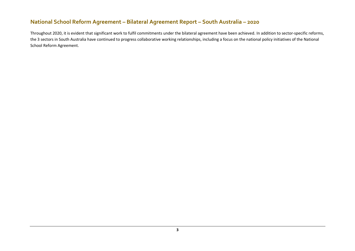Throughout 2020, it is evident that significant work to fulfil commitments under the bilateral agreement have been achieved. In addition to sector-specific reforms, the 3 sectors in South Australia have continued to progress collaborative working relationships, including a focus on the national policy initiatives of the National School Reform Agreement.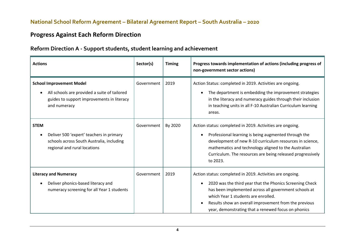# **Progress Against Each Reform Direction**

#### **Reform Direction A - Support students, student learning and achievement**

| <b>Actions</b>                                                                                                                                | Sector(s)  | <b>Timing</b> | Progress towards implementation of actions (including progress of<br>non-government sector actions)                                                                                                                                                                                                                                                             |
|-----------------------------------------------------------------------------------------------------------------------------------------------|------------|---------------|-----------------------------------------------------------------------------------------------------------------------------------------------------------------------------------------------------------------------------------------------------------------------------------------------------------------------------------------------------------------|
| <b>School Improvement Model</b><br>All schools are provided a suite of tailored<br>guides to support improvements in literacy<br>and numeracy | Government | 2019          | Action Status: completed in 2019. Activities are ongoing.<br>The department is embedding the improvement strategies<br>$\bullet$<br>in the literacy and numeracy guides through their inclusion<br>in teaching units in all F-10 Australian Curriculum learning<br>areas.                                                                                       |
| <b>STEM</b><br>Deliver 500 'expert' teachers in primary<br>schools across South Australia, including<br>regional and rural locations          | Government | By 2020       | Action status: completed in 2019. Activities are ongoing.<br>Professional learning is being augmented through the<br>$\bullet$<br>development of new R-10 curriculum resources in science,<br>mathematics and technology aligned to the Australian<br>Curriculum. The resources are being released progressively<br>to 2023.                                    |
| <b>Literacy and Numeracy</b><br>Deliver phonics-based literacy and<br>numeracy screening for all Year 1 students                              | Government | 2019          | Action status: completed in 2019. Activities are ongoing.<br>2020 was the third year that the Phonics Screening Check<br>$\bullet$<br>has been implemented across all government schools at<br>which Year 1 students are enrolled.<br>Results show an overall improvement from the previous<br>$\bullet$<br>year, demonstrating that a renewed focus on phonics |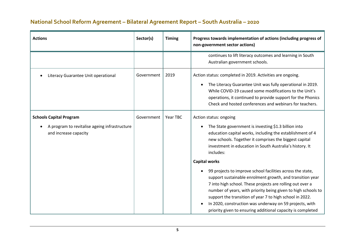| <b>Actions</b>                                                                                           | Sector(s)  | <b>Timing</b> | Progress towards implementation of actions (including progress of<br>non-government sector actions)                                                                                                                                                                                                                                                                                                                                                                                                                                                                                                                                                                                                                                                                |
|----------------------------------------------------------------------------------------------------------|------------|---------------|--------------------------------------------------------------------------------------------------------------------------------------------------------------------------------------------------------------------------------------------------------------------------------------------------------------------------------------------------------------------------------------------------------------------------------------------------------------------------------------------------------------------------------------------------------------------------------------------------------------------------------------------------------------------------------------------------------------------------------------------------------------------|
|                                                                                                          |            |               | continues to lift literacy outcomes and learning in South<br>Australian government schools.                                                                                                                                                                                                                                                                                                                                                                                                                                                                                                                                                                                                                                                                        |
| Literacy Guarantee Unit operational                                                                      | Government | 2019          | Action status: completed in 2019. Activities are ongoing.<br>The Literacy Guarantee Unit was fully operational in 2019.<br>$\bullet$<br>While COVID-19 caused some modifications to the Unit's<br>operations, it continued to provide support for the Phonics<br>Check and hosted conferences and webinars for teachers.                                                                                                                                                                                                                                                                                                                                                                                                                                           |
| <b>Schools Capital Program</b><br>A program to revitalise ageing infrastructure<br>and increase capacity | Government | Year TBC      | Action status: ongoing<br>The State government is investing \$1.3 billion into<br>$\bullet$<br>education capital works, including the establishment of 4<br>new schools. Together it comprises the biggest capital<br>investment in education in South Australia's history. It<br>includes:<br><b>Capital works</b><br>99 projects to improve school facilities across the state,<br>support sustainable enrolment growth, and transition year<br>7 into high school. These projects are rolling out over a<br>number of years, with priority being given to high schools to<br>support the transition of year 7 to high school in 2022.<br>In 2020, construction was underway on 59 projects, with<br>priority given to ensuring additional capacity is completed |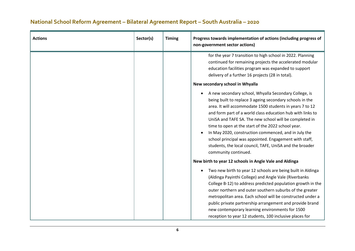| <b>Actions</b> | Sector(s) | <b>Timing</b> | Progress towards implementation of actions (including progress of<br>non-government sector actions)                                                                                                                                                                                                                                                                                                                                                                                                                                                                                                                                                                                                                                                                                                                                                     |
|----------------|-----------|---------------|---------------------------------------------------------------------------------------------------------------------------------------------------------------------------------------------------------------------------------------------------------------------------------------------------------------------------------------------------------------------------------------------------------------------------------------------------------------------------------------------------------------------------------------------------------------------------------------------------------------------------------------------------------------------------------------------------------------------------------------------------------------------------------------------------------------------------------------------------------|
|                |           |               | for the year 7 transition to high school in 2022. Planning<br>continued for remaining projects the accelerated modular<br>education facilities program was expanded to support<br>delivery of a further 16 projects (28 in total).<br>New secondary school in Whyalla<br>A new secondary school, Whyalla Secondary College, is<br>$\bullet$<br>being built to replace 3 ageing secondary schools in the<br>area. It will accommodate 1500 students in years 7 to 12<br>and form part of a world class education hub with links to<br>UniSA and TAFE SA. The new school will be completed in<br>time to open at the start of the 2022 school year.<br>In May 2020, construction commenced, and in July the<br>school principal was appointed. Engagement with staff,<br>students, the local council, TAFE, UniSA and the broader<br>community continued. |
|                |           |               | New birth to year 12 schools in Angle Vale and Aldinga<br>Two new birth to year 12 schools are being built in Aldinga<br>(Aldinga Payinthi College) and Angle Vale (Riverbanks<br>College B-12) to address predicted population growth in the<br>outer northern and outer southern suburbs of the greater<br>metropolitan area. Each school will be constructed under a<br>public private partnership arrangement and provide brand<br>new contemporary learning environments for 1500<br>reception to year 12 students, 100 inclusive places for                                                                                                                                                                                                                                                                                                       |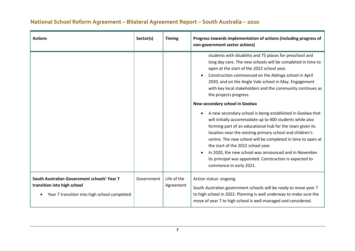| <b>Actions</b>                                                                                                             | Sector(s)  | <b>Timing</b>            | Progress towards implementation of actions (including progress of<br>non-government sector actions)                                                                                                                                                                                                                                                                                                                                                                                                                                                                                                                                                                                                                                                                                                                                                                                                                                    |
|----------------------------------------------------------------------------------------------------------------------------|------------|--------------------------|----------------------------------------------------------------------------------------------------------------------------------------------------------------------------------------------------------------------------------------------------------------------------------------------------------------------------------------------------------------------------------------------------------------------------------------------------------------------------------------------------------------------------------------------------------------------------------------------------------------------------------------------------------------------------------------------------------------------------------------------------------------------------------------------------------------------------------------------------------------------------------------------------------------------------------------|
|                                                                                                                            |            |                          | students with disability and 75 places for preschool and<br>long day care. The new schools will be completed in time to<br>open at the start of the 2022 school year.<br>Construction commenced on the Aldinga school in April<br>$\bullet$<br>2020, and on the Angle Vale school in May. Engagement<br>with key local stakeholders and the community continues as<br>the projects progress.<br>New secondary school in Goolwa<br>A new secondary school is being established in Goolwa that<br>will initially accommodate up to 400 students while also<br>forming part of an educational hub for the town given its<br>location near the existing primary school and children's<br>centre. The new school will be completed in time to open at<br>the start of the 2022 school year.<br>In 2020, the new school was announced and in November<br>its principal was appointed. Construction is expected to<br>commence in early 2021. |
| South Australian Government schools' Year 7<br>transition into high school<br>Year 7 transition into high school completed | Government | Life of the<br>Agreement | Action status: ongoing<br>South Australian government schools will be ready to move year 7<br>to high school in 2022. Planning is well underway to make sure the<br>move of year 7 to high school is well-managed and considered.                                                                                                                                                                                                                                                                                                                                                                                                                                                                                                                                                                                                                                                                                                      |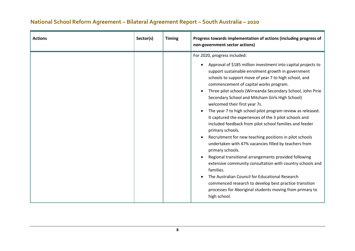| <b>Actions</b> | Sector(s) | <b>Timing</b> | Progress towards implementation of actions (including progress of<br>non-government sector actions)                                                                                                                                                                                                                                                                                                                                                                                                                                                                                                                                                                                                                                                                                                                                                                                                                                                                                                                                                                                                             |
|----------------|-----------|---------------|-----------------------------------------------------------------------------------------------------------------------------------------------------------------------------------------------------------------------------------------------------------------------------------------------------------------------------------------------------------------------------------------------------------------------------------------------------------------------------------------------------------------------------------------------------------------------------------------------------------------------------------------------------------------------------------------------------------------------------------------------------------------------------------------------------------------------------------------------------------------------------------------------------------------------------------------------------------------------------------------------------------------------------------------------------------------------------------------------------------------|
|                |           |               | For 2020, progress included:<br>Approval of \$185 million investment into capital projects to<br>$\bullet$<br>support sustainable enrolment growth in government<br>schools to support move of year 7 to high school, and<br>commencement of capital works program.<br>Three pilot schools (Wirreanda Secondary School, John Pirie<br>Secondary School and Mitcham Girls High School)<br>welcomed their first year 7s.<br>The year 7 to high school pilot program review as released.<br>It captured the experiences of the 3 pilot schools and<br>included feedback from pilot school families and feeder<br>primary schools.<br>Recruitment for new teaching positions in pilot schools<br>$\bullet$<br>undertaken with 47% vacancies filled by teachers from<br>primary schools.<br>Regional transitional arrangements provided following<br>extensive community consultation with country schools and<br>families.<br>The Australian Council for Educational Research<br>commenced research to develop best practice transition<br>processes for Aboriginal students moving from primary to<br>high school. |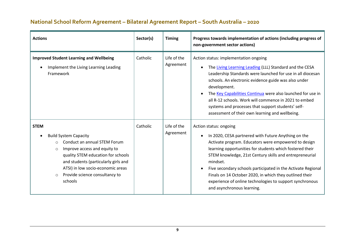| <b>Actions</b>                                                                                                                                                                                                                                                                                               | Sector(s) | <b>Timing</b>            | Progress towards implementation of actions (including progress of<br>non-government sector actions)                                                                                                                                                                                                                                                                                                                                                                                                                     |
|--------------------------------------------------------------------------------------------------------------------------------------------------------------------------------------------------------------------------------------------------------------------------------------------------------------|-----------|--------------------------|-------------------------------------------------------------------------------------------------------------------------------------------------------------------------------------------------------------------------------------------------------------------------------------------------------------------------------------------------------------------------------------------------------------------------------------------------------------------------------------------------------------------------|
| <b>Improved Student Learning and Wellbeing</b><br>Implement the Living Learning Leading<br>Framework                                                                                                                                                                                                         | Catholic  | Life of the<br>Agreement | Action status: implementation ongoing<br>The Living Learning Leading (LLL) Standard and the CESA<br>Leadership Standards were launched for use in all diocesan<br>schools. An electronic evidence guide was also under<br>development.<br>The Key Capabilities Continua were also launched for use in<br>all R-12 schools. Work will commence in 2021 to embed<br>systems and processes that support students' self-<br>assessment of their own learning and wellbeing.                                                 |
| <b>STEM</b><br><b>Build System Capacity</b><br>Conduct an annual STEM Forum<br>$\circ$<br>Improve access and equity to<br>$\circ$<br>quality STEM education for schools<br>and students (particularly girls and<br>ATSI) in low socio-economic areas<br>Provide science consultancy to<br>$\circ$<br>schools | Catholic  | Life of the<br>Agreement | Action status: ongoing<br>In 2020, CESA partnered with Future Anything on the<br>$\bullet$<br>Activate program. Educators were empowered to design<br>learning opportunities for students which fostered their<br>STEM knowledge, 21st Century skills and entrepreneurial<br>mindset.<br>Five secondary schools participated in the Activate Regional<br>$\bullet$<br>Finals on 14 October 2020, in which they outlined their<br>experience of online technologies to support synchronous<br>and asynchronous learning. |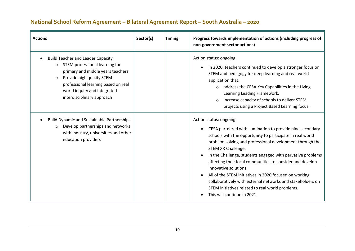| <b>Actions</b>                                                                                                                                                                                                                                                          | Sector(s) | <b>Timing</b> | Progress towards implementation of actions (including progress of<br>non-government sector actions)                                                                                                                                                                                                                                                                                                                                                                                                                                                                                                           |
|-------------------------------------------------------------------------------------------------------------------------------------------------------------------------------------------------------------------------------------------------------------------------|-----------|---------------|---------------------------------------------------------------------------------------------------------------------------------------------------------------------------------------------------------------------------------------------------------------------------------------------------------------------------------------------------------------------------------------------------------------------------------------------------------------------------------------------------------------------------------------------------------------------------------------------------------------|
| <b>Build Teacher and Leader Capacity</b><br>STEM professional learning for<br>$\circ$<br>primary and middle years teachers<br>Provide high quality STEM<br>$\circ$<br>professional learning based on real<br>world inquiry and integrated<br>interdisciplinary approach |           |               | Action status: ongoing<br>In 2020, teachers continued to develop a stronger focus on<br>$\bullet$<br>STEM and pedagogy for deep learning and real-world<br>application that:<br>address the CESA Key Capabilities in the Living<br>Learning Leading Framework.<br>increase capacity of schools to deliver STEM<br>$\circ$<br>projects using a Project Based Learning focus.                                                                                                                                                                                                                                   |
| <b>Build Dynamic and Sustainable Partnerships</b><br>Develop partnerships and networks<br>$\circ$<br>with industry, universities and other<br>education providers                                                                                                       |           |               | Action status: ongoing<br>CESA partnered with Lumination to provide nine secondary<br>$\bullet$<br>schools with the opportunity to participate in real world<br>problem solving and professional development through the<br>STEM XR Challenge.<br>In the Challenge, students engaged with pervasive problems<br>affecting their local communities to consider and develop<br>innovative solutions.<br>All of the STEM initiatives in 2020 focused on working<br>collaboratively with external networks and stakeholders on<br>STEM initiatives related to real world problems.<br>This will continue in 2021. |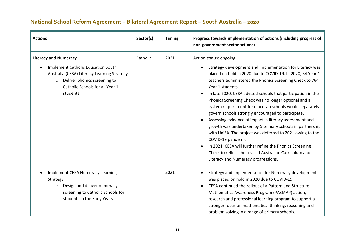| <b>Actions</b>                                                                                                                                                                                                     | Sector(s) | <b>Timing</b> | Progress towards implementation of actions (including progress of<br>non-government sector actions)                                                                                                                                                                                                                                                                                                                                                                                                                                                                                                                                                                                                                                                                                                                                                            |
|--------------------------------------------------------------------------------------------------------------------------------------------------------------------------------------------------------------------|-----------|---------------|----------------------------------------------------------------------------------------------------------------------------------------------------------------------------------------------------------------------------------------------------------------------------------------------------------------------------------------------------------------------------------------------------------------------------------------------------------------------------------------------------------------------------------------------------------------------------------------------------------------------------------------------------------------------------------------------------------------------------------------------------------------------------------------------------------------------------------------------------------------|
| <b>Literacy and Numeracy</b><br><b>Implement Catholic Education South</b><br>Australia (CESA) Literacy Learning Strategy<br>Deliver phonics screening to<br>$\circ$<br>Catholic Schools for all Year 1<br>students | Catholic  | 2021          | Action status: ongoing<br>Strategy development and implementation for Literacy was<br>placed on hold in 2020 due to COVID-19. In 2020, 54 Year 1<br>teachers administered the Phonics Screening Check to 764<br>Year 1 students.<br>In late 2020, CESA advised schools that participation in the<br>Phonics Screening Check was no longer optional and a<br>system requirement for diocesan schools would separately<br>govern schools strongly encouraged to participate.<br>Assessing evidence of impact in literacy assessment and<br>growth was undertaken by 5 primary schools in partnership<br>with UniSA. The project was deferred to 2021 owing to the<br>COVID-19 pandemic.<br>In 2021, CESA will further refine the Phonics Screening<br>$\bullet$<br>Check to reflect the revised Australian Curriculum and<br>Literacy and Numeracy progressions. |
| <b>Implement CESA Numeracy Learning</b><br>Strategy<br>Design and deliver numeracy<br>$\circ$<br>screening to Catholic Schools for<br>students in the Early Years                                                  |           | 2021          | Strategy and implementation for Numeracy development<br>was placed on hold in 2020 due to COVID-19.<br>CESA continued the rollout of a Pattern and Structure<br>Mathematics Awareness Program (PASMAP) action,<br>research and professional learning program to support a<br>stronger focus on mathematical thinking, reasoning and<br>problem solving in a range of primary schools.                                                                                                                                                                                                                                                                                                                                                                                                                                                                          |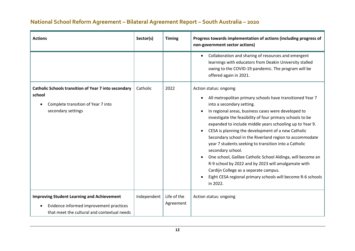| <b>Actions</b>                                                                                                                              | Sector(s)       | <b>Timing</b>            | Progress towards implementation of actions (including progress of<br>non-government sector actions)                                                                                                                                                                                                                                                                                                                                                                                                                                                                                                                                                                                                                                                         |
|---------------------------------------------------------------------------------------------------------------------------------------------|-----------------|--------------------------|-------------------------------------------------------------------------------------------------------------------------------------------------------------------------------------------------------------------------------------------------------------------------------------------------------------------------------------------------------------------------------------------------------------------------------------------------------------------------------------------------------------------------------------------------------------------------------------------------------------------------------------------------------------------------------------------------------------------------------------------------------------|
|                                                                                                                                             |                 |                          | Collaboration and sharing of resources and emergent<br>$\bullet$<br>learnings with educators from Deakin University stalled<br>owing to the COVID-19 pandemic. The program will be<br>offered again in 2021.                                                                                                                                                                                                                                                                                                                                                                                                                                                                                                                                                |
| <b>Catholic Schools transition of Year 7 into secondary</b><br>school<br>Complete transition of Year 7 into<br>secondary settings           | Catholic        | 2022                     | Action status: ongoing<br>All metropolitan primary schools have transitioned Year 7<br>٠<br>into a secondary setting.<br>In regional areas, business cases were developed to<br>investigate the feasibility of four primary schools to be<br>expanded to include middle years schooling up to Year 9.<br>CESA is planning the development of a new Catholic<br>$\bullet$<br>Secondary school in the Riverland region to accommodate<br>year 7 students seeking to transition into a Catholic<br>secondary school.<br>One school, Galilee Catholic School Aldinga, will become an<br>R-9 school by 2022 and by 2023 will amalgamate with<br>Cardijn College as a separate campus.<br>Eight CESA regional primary schools will become R-6 schools<br>in 2022. |
| <b>Improving Student Learning and Achievement</b><br>Evidence informed improvement practices<br>that meet the cultural and contextual needs | Independent $ $ | Life of the<br>Agreement | Action status: ongoing                                                                                                                                                                                                                                                                                                                                                                                                                                                                                                                                                                                                                                                                                                                                      |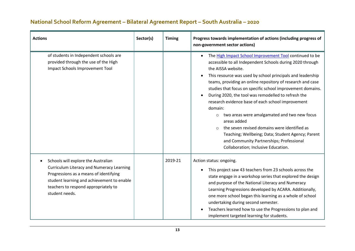| <b>Actions</b>                                                                                                                                                                                                                            | Sector(s) | <b>Timing</b> | Progress towards implementation of actions (including progress of<br>non-government sector actions)                                                                                                                                                                                                                                                                                                                                                                                                                                                                                                                                                                                                                                                                |
|-------------------------------------------------------------------------------------------------------------------------------------------------------------------------------------------------------------------------------------------|-----------|---------------|--------------------------------------------------------------------------------------------------------------------------------------------------------------------------------------------------------------------------------------------------------------------------------------------------------------------------------------------------------------------------------------------------------------------------------------------------------------------------------------------------------------------------------------------------------------------------------------------------------------------------------------------------------------------------------------------------------------------------------------------------------------------|
| of students in Independent schools are<br>provided through the use of the High<br>Impact Schools Improvement Tool                                                                                                                         |           |               | The High Impact School Improvement Tool continued to be<br>accessible to all Independent Schools during 2020 through<br>the AISSA website.<br>This resource was used by school principals and leadership<br>$\bullet$<br>teams, providing an online repository of research and case<br>studies that focus on specific school improvement domains.<br>During 2020, the tool was remodelled to refresh the<br>$\bullet$<br>research evidence base of each school improvement<br>domain:<br>two areas were amalgamated and two new focus<br>$\circ$<br>areas added<br>the seven revised domains were identified as<br>$\circ$<br>Teaching; Wellbeing; Data; Student Agency; Parent<br>and Community Partnerships; Professional<br>Collaboration; Inclusive Education. |
| Schools will explore the Australian<br><b>Curriculum Literacy and Numeracy Learning</b><br>Progressions as a means of identifying<br>student learning and achievement to enable<br>teachers to respond appropriately to<br>student needs. |           | 2019-21       | Action status: ongoing.<br>This project saw 43 teachers from 23 schools across the<br>state engage in a workshop series that explored the design<br>and purpose of the National Literacy and Numeracy<br>Learning Progressions developed by ACARA. Additionally,<br>one more school began this learning as a whole of school<br>undertaking during second semester.<br>Teachers learned how to use the Progressions to plan and<br>implement targeted learning for students.                                                                                                                                                                                                                                                                                       |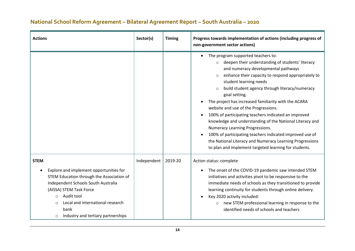#### **Actions Sector(s) Timing Progress towards implementation of actions (including progress of non-government sector actions)**  • The program supported teachers to: o deepen their understanding of students' literacy and numeracy developmental pathways o enhance their capacity to respond appropriately to student learning needs o build student agency through literacy/numeracy goal setting. • The project has increased familiarity with the ACARA website and use of the Progressions. • 100% of participating teachers indicated an improved knowledge and understanding of the National Literacy and Numeracy Learning Progressions. • 100% of participating teachers indicated improved use of the National Literacy and Numeracy Learning Progressions to plan and implement targeted learning for students. **STEM** • Explore and implement opportunities for STEM Education through the Association of Independent Schools South Australia (AISSA) STEM Task Force o Audit tool o Local and international research Independent 2019-20 Action status: complete • The onset of the COVID-19 pandemic saw intended STEM initiatives and activities pivot to be responsive to the immediate needs of schools as they transitioned to provide learning continuity for students through online delivery. • Key 2020 activity included: o new STEM professional learning in response to the

#### **National School Reform Agreement – Bilateral Agreement Report – South Australia – 2020**

bank

o Industry and tertiary partnerships

identified needs of schools and teachers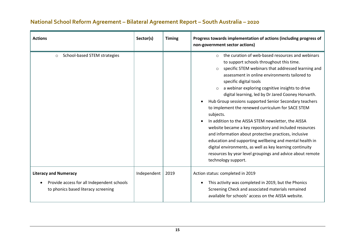| <b>Actions</b>                                                                                                    | Sector(s)   | <b>Timing</b> | Progress towards implementation of actions (including progress of<br>non-government sector actions)                                                                                                                                                                                                                                                                                                                                                                                                                                                                                                                                                                                                                                                                                                                                                                                |
|-------------------------------------------------------------------------------------------------------------------|-------------|---------------|------------------------------------------------------------------------------------------------------------------------------------------------------------------------------------------------------------------------------------------------------------------------------------------------------------------------------------------------------------------------------------------------------------------------------------------------------------------------------------------------------------------------------------------------------------------------------------------------------------------------------------------------------------------------------------------------------------------------------------------------------------------------------------------------------------------------------------------------------------------------------------|
| School-based STEM strategies<br>$\circ$                                                                           |             |               | the curation of web-based resources and webinars<br>$\bigcirc$<br>to support schools throughout this time.<br>specific STEM webinars that addressed learning and<br>assessment in online environments tailored to<br>specific digital tools<br>a webinar exploring cognitive insights to drive<br>digital learning, led by Dr Jared Cooney Horvarth.<br>Hub Group sessions supported Senior Secondary teachers<br>$\bullet$<br>to implement the renewed curriculum for SACE STEM<br>subjects.<br>In addition to the AISSA STEM newsletter, the AISSA<br>website became a key repository and included resources<br>and information about protective practices, inclusive<br>education and supporting wellbeing and mental health in<br>digital environments, as well as key learning continuity<br>resources by year level groupings and advice about remote<br>technology support. |
| <b>Literacy and Numeracy</b><br>Provide access for all Independent schools<br>to phonics based literacy screening | Independent | 2019          | Action status: completed in 2019<br>This activity was completed in 2019, but the Phonics<br>$\bullet$<br>Screening Check and associated materials remained<br>available for schools' access on the AISSA website.                                                                                                                                                                                                                                                                                                                                                                                                                                                                                                                                                                                                                                                                  |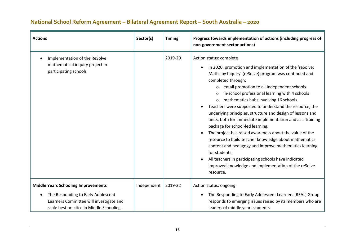| <b>Actions</b>                                                                                                            | Sector(s)   | <b>Timing</b> | Progress towards implementation of actions (including progress of<br>non-government sector actions)                                                                                                                                                                                                                                                                                                                                                                                                                                                                                                                                                                                                                                                                                                                                                                                                            |
|---------------------------------------------------------------------------------------------------------------------------|-------------|---------------|----------------------------------------------------------------------------------------------------------------------------------------------------------------------------------------------------------------------------------------------------------------------------------------------------------------------------------------------------------------------------------------------------------------------------------------------------------------------------------------------------------------------------------------------------------------------------------------------------------------------------------------------------------------------------------------------------------------------------------------------------------------------------------------------------------------------------------------------------------------------------------------------------------------|
| Implementation of the ReSolve<br>mathematical inquiry project in<br>participating schools                                 |             | 2019-20       | Action status: complete<br>In 2020, promotion and implementation of the 'reSolve:<br>Maths by Inquiry' (reSolve) program was continued and<br>completed through:<br>email promotion to all Independent schools<br>$\circ$<br>in-school professional learning with 4 schools<br>$\circ$<br>mathematics hubs involving 16 schools.<br>$\circ$<br>Teachers were supported to understand the resource, the<br>underlying principles, structure and design of lessons and<br>units, both for immediate implementation and as a training<br>package for school-led learning.<br>The project has raised awareness about the value of the<br>$\bullet$<br>resource to build teacher knowledge about mathematics<br>content and pedagogy and improve mathematics learning<br>for students.<br>All teachers in participating schools have indicated<br>improved knowledge and implementation of the reSolve<br>resource. |
| <b>Middle Years Schooling Improvements</b>                                                                                | Independent | 2019-22       | Action status: ongoing                                                                                                                                                                                                                                                                                                                                                                                                                                                                                                                                                                                                                                                                                                                                                                                                                                                                                         |
| The Responding to Early Adolescent<br>Learners Committee will investigate and<br>scale best practice in Middle Schooling, |             |               | The Responding to Early Adolescent Learners (REAL) Group<br>responds to emerging issues raised by its members who are<br>leaders of middle years students.                                                                                                                                                                                                                                                                                                                                                                                                                                                                                                                                                                                                                                                                                                                                                     |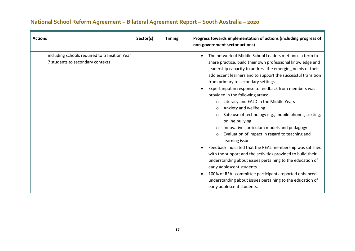| <b>Actions</b>                                                                    | Sector(s) | <b>Timing</b> | Progress towards implementation of actions (including progress of<br>non-government sector actions)                                                                                                                                                                                                                                                                                                                                                                                                                                                                                                                                                                                                                                                                                                                                                                                                                                                                                                                                                                                       |
|-----------------------------------------------------------------------------------|-----------|---------------|-------------------------------------------------------------------------------------------------------------------------------------------------------------------------------------------------------------------------------------------------------------------------------------------------------------------------------------------------------------------------------------------------------------------------------------------------------------------------------------------------------------------------------------------------------------------------------------------------------------------------------------------------------------------------------------------------------------------------------------------------------------------------------------------------------------------------------------------------------------------------------------------------------------------------------------------------------------------------------------------------------------------------------------------------------------------------------------------|
| including schools required to transition Year<br>7 students to secondary contexts |           |               | The network of Middle School Leaders met once a term to<br>share practice, build their own professional knowledge and<br>leadership capacity to address the emerging needs of their<br>adolescent learners and to support the successful transition<br>from primary to secondary settings.<br>Expert input in response to feedback from members was<br>provided in the following areas:<br>Literacy and EALD in the Middle Years<br>$\circ$<br>Anxiety and wellbeing<br>$\circ$<br>Safe use of technology e.g., mobile phones, sexting,<br>$\circ$<br>online bullying<br>Innovative curriculum models and pedagogy<br>$\circ$<br>Evaluation of impact in regard to teaching and<br>$\circ$<br>learning issues.<br>Feedback indicated that the REAL membership was satisfied<br>with the support and the activities provided to build their<br>understanding about issues pertaining to the education of<br>early adolescent students.<br>100% of REAL committee participants reported enhanced<br>understanding about issues pertaining to the education of<br>early adolescent students. |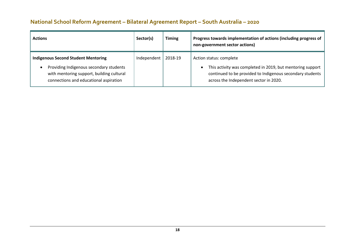| <b>Actions</b>                                                                                                                     | Sector(s)   | <b>Timing</b> | Progress towards implementation of actions (including progress of<br>non-government sector actions)                                                |
|------------------------------------------------------------------------------------------------------------------------------------|-------------|---------------|----------------------------------------------------------------------------------------------------------------------------------------------------|
| <b>Indigenous Second Student Mentoring</b><br>Providing Indigenous secondary students<br>with mentoring support, building cultural | Independent | 2018-19       | Action status: complete<br>This activity was completed in 2019, but mentoring support<br>continued to be provided to Indigenous secondary students |
| connections and educational aspiration                                                                                             |             |               | across the Independent sector in 2020.                                                                                                             |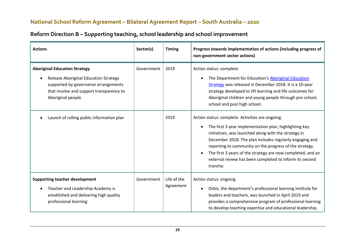| <b>Actions</b>                                                                                                                                                                                | Sector(s)  | <b>Timing</b>            | Progress towards implementation of actions (including progress of<br>non-government sector actions)                                                                                                                                                                                                                                                                                                                            |
|-----------------------------------------------------------------------------------------------------------------------------------------------------------------------------------------------|------------|--------------------------|--------------------------------------------------------------------------------------------------------------------------------------------------------------------------------------------------------------------------------------------------------------------------------------------------------------------------------------------------------------------------------------------------------------------------------|
| <b>Aboriginal Education Strategy</b><br><b>Release Aboriginal Education Strategy</b><br>supported by governance arrangements<br>that involve and support transparency to<br>Aboriginal people | Government | 2019                     | Action status: complete<br>The Department for Education's Aboriginal Education<br>Strategy was released in December 2018. It is a 10-year<br>strategy developed to lift learning and life outcomes for<br>Aboriginal children and young people through pre-school,<br>school and post high school.                                                                                                                             |
| Launch of rolling public information plan                                                                                                                                                     |            | 2019                     | Action status: complete. Activities are ongoing.<br>The first 3 year implementation plan, highlighting key<br>initiatives, was launched along with the strategy in<br>December 2018. The plan includes regularly engaging and<br>reporting to community on the progress of the strategy.<br>The first 3 years of the strategy are now completed, and an<br>external review has been completed to inform its second<br>tranche. |
| <b>Supporting teacher development</b><br>Teacher and Leadership Academy is<br>established and delivering high quality<br>professional learning                                                | Government | Life of the<br>Agreement | Action status: ongoing<br>Orbis, the department's professional learning institute for<br>leaders and teachers, was launched in April 2019 and<br>provides a comprehensive program of professional learning<br>to develop teaching expertise and educational leadership.                                                                                                                                                        |

# **Reform Direction B – Supporting teaching, school leadership and school improvement**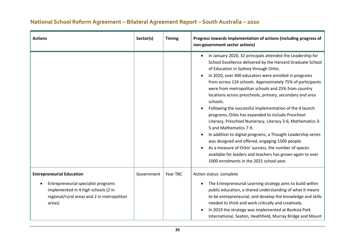| <b>Actions</b>                                                                                                                                                         | Sector(s)  | <b>Timing</b> | Progress towards implementation of actions (including progress of<br>non-government sector actions)                                                                                                                                                                                                                                                                                                                                                                                                                                                                                                                                                                                                                                                                                                                                                                                                                               |
|------------------------------------------------------------------------------------------------------------------------------------------------------------------------|------------|---------------|-----------------------------------------------------------------------------------------------------------------------------------------------------------------------------------------------------------------------------------------------------------------------------------------------------------------------------------------------------------------------------------------------------------------------------------------------------------------------------------------------------------------------------------------------------------------------------------------------------------------------------------------------------------------------------------------------------------------------------------------------------------------------------------------------------------------------------------------------------------------------------------------------------------------------------------|
|                                                                                                                                                                        |            |               | In January 2020, 32 principals attended the Leadership for<br>School Excellence delivered by the Harvard Graduate School<br>of Education in Sydney through Orbis.<br>In 2020, over 400 educators were enrolled in programs<br>from across 124 schools. Approximately 75% of participants<br>were from metropolitan schools and 25% from country<br>locations across preschools, primary, secondary and area<br>schools.<br>Following the successful implementation of the 4 launch<br>programs, Orbis has expanded to include Preschool<br>Literacy, Preschool Numeracy, Literacy 3-6, Mathematics 3-<br>5 and Mathematics 7-9.<br>In addition to digital programs, a Thought Leadership series<br>$\bullet$<br>was designed and offered, engaging 1500 people.<br>As a measure of Orbis' success, the number of spaces<br>available for leaders and teachers has grown again to over<br>1000 enrolments in the 2021 school year. |
| <b>Entrepreneurial Education</b><br>Entrepreneurial specialist programs<br>implemented in 4 high schools (2 in<br>regional/rural areas and 2 in metropolitan<br>areas) | Government | Year TBC      | Action status: complete<br>The Entrepreneurial Learning strategy aims to build within<br>public education, a shared understanding of what it means<br>to be entrepreneurial, and develop the knowledge and skills<br>needed to think and work critically and creatively.<br>In 2019 the strategy was implemented at Banksia Park<br>International, Seaton, Heathfield, Murray Bridge and Mount                                                                                                                                                                                                                                                                                                                                                                                                                                                                                                                                    |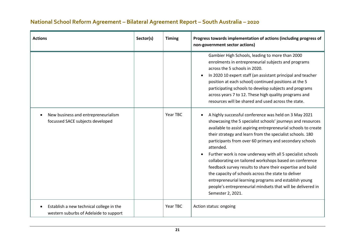| <b>Actions</b>                                                                     | Sector(s) | <b>Timing</b> | Progress towards implementation of actions (including progress of<br>non-government sector actions)                                                                                                                                                                                                                                                                                                                                                                                                                                                                                                                                                                                                                    |
|------------------------------------------------------------------------------------|-----------|---------------|------------------------------------------------------------------------------------------------------------------------------------------------------------------------------------------------------------------------------------------------------------------------------------------------------------------------------------------------------------------------------------------------------------------------------------------------------------------------------------------------------------------------------------------------------------------------------------------------------------------------------------------------------------------------------------------------------------------------|
|                                                                                    |           |               | Gambier High Schools, leading to more than 2000<br>enrolments in entrepreneurial subjects and programs<br>across the 5 schools in 2020.<br>In 2020 10 expert staff (an assistant principal and teacher<br>$\bullet$<br>position at each school) continued positions at the 5<br>participating schools to develop subjects and programs<br>across years 7 to 12. These high quality programs and<br>resources will be shared and used across the state.                                                                                                                                                                                                                                                                 |
| New business and entrepreneurialism<br>focussed SACE subjects developed            |           | Year TBC      | A highly successful conference was held on 3 May 2021<br>showcasing the 5 specialist schools' journeys and resources<br>available to assist aspiring entrepreneurial schools to create<br>their strategy and learn from the specialist schools. 180<br>participants from over 60 primary and secondary schools<br>attended.<br>Further work is now underway with all 5 specialist schools<br>collaborating on tailored workshops based on conference<br>feedback survey results to share their expertise and build<br>the capacity of schools across the state to deliver<br>entrepreneurial learning programs and establish young<br>people's entrepreneurial mindsets that will be delivered in<br>Semester 2, 2021. |
| Establish a new technical college in the<br>western suburbs of Adelaide to support |           | Year TBC      | Action status: ongoing                                                                                                                                                                                                                                                                                                                                                                                                                                                                                                                                                                                                                                                                                                 |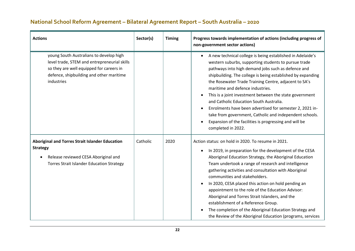| <b>Actions</b>                                                                                                                                                                                | Sector(s) | <b>Timing</b> | Progress towards implementation of actions (including progress of<br>non-government sector actions)                                                                                                                                                                                                                                                                                                                                                                                                                                                                                                                                                                                      |
|-----------------------------------------------------------------------------------------------------------------------------------------------------------------------------------------------|-----------|---------------|------------------------------------------------------------------------------------------------------------------------------------------------------------------------------------------------------------------------------------------------------------------------------------------------------------------------------------------------------------------------------------------------------------------------------------------------------------------------------------------------------------------------------------------------------------------------------------------------------------------------------------------------------------------------------------------|
| young South Australians to develop high<br>level trade, STEM and entrepreneurial skills<br>so they are well equipped for careers in<br>defence, shipbuilding and other maritime<br>industries |           |               | A new technical college is being established in Adelaide's<br>$\bullet$<br>western suburbs, supporting students to pursue trade<br>pathways into high demand jobs such as defence and<br>shipbuilding. The college is being established by expanding<br>the Rosewater Trade Training Centre, adjacent to SA's<br>maritime and defence industries.<br>This is a joint investment between the state government<br>and Catholic Education South Australia.<br>Enrolments have been advertised for semester 2, 2021 in-<br>$\bullet$<br>take from government, Catholic and independent schools.<br>Expansion of the facilities is progressing and will be<br>$\bullet$<br>completed in 2022. |
| Aboriginal and Torres Strait Islander Education<br><b>Strategy</b><br>Release reviewed CESA Aboriginal and<br><b>Torres Strait Islander Education Strategy</b>                                | Catholic  | 2020          | Action status: on hold in 2020. To resume in 2021.<br>In 2019, in preparation for the development of the CESA<br>$\bullet$<br>Aboriginal Education Strategy, the Aboriginal Education<br>Team undertook a range of research and intelligence<br>gathering activities and consultation with Aboriginal<br>communities and stakeholders.<br>In 2020, CESA placed this action on hold pending an<br>$\bullet$<br>appointment to the role of the Education Advisor:<br>Aboriginal and Torres Strait Islanders, and the<br>establishment of a Reference Group.<br>The completion of the Aboriginal Education Strategy and<br>the Review of the Aboriginal Education (programs, services       |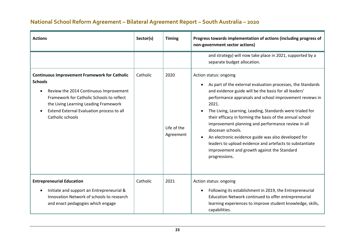| <b>Actions</b>                                                                                                                                                                                                                                                          | Sector(s) | <b>Timing</b>                    | Progress towards implementation of actions (including progress of<br>non-government sector actions)                                                                                                                                                                                                                                                                                                                                                                                                                                                                                                        |
|-------------------------------------------------------------------------------------------------------------------------------------------------------------------------------------------------------------------------------------------------------------------------|-----------|----------------------------------|------------------------------------------------------------------------------------------------------------------------------------------------------------------------------------------------------------------------------------------------------------------------------------------------------------------------------------------------------------------------------------------------------------------------------------------------------------------------------------------------------------------------------------------------------------------------------------------------------------|
|                                                                                                                                                                                                                                                                         |           |                                  | and strategy) will now take place in 2021, supported by a<br>separate budget allocation.                                                                                                                                                                                                                                                                                                                                                                                                                                                                                                                   |
| <b>Continuous Improvement Framework for Catholic</b><br><b>Schools</b><br>Review the 2014 Continuous Improvement<br>Framework for Catholic Schools to reflect<br>the Living Learning Leading Framework<br>Extend External Evaluation process to all<br>Catholic schools | Catholic  | 2020<br>Life of the<br>Agreement | Action status: ongoing<br>As part of the external evaluation processes, the Standards<br>and evidence guide will be the basis for all leaders'<br>performance appraisals and school improvement reviews in<br>2021.<br>The Living, Learning, Leading, Standards were trialed for<br>their efficacy in forming the basis of the annual school<br>improvement planning and performance review in all<br>diocesan schools.<br>An electronic evidence guide was also developed for<br>leaders to upload evidence and artefacts to substantiate<br>improvement and growth against the Standard<br>progressions. |
| <b>Entrepreneurial Education</b><br>Initiate and support an Entrepreneurial &<br>Innovation Network of schools to research<br>and enact pedagogies which engage                                                                                                         | Catholic  | 2021                             | Action status: ongoing<br>Following its establishment in 2019, the Entrepreneurial<br>Education Network continued to offer entrepreneurial<br>learning experiences to improve student knowledge, skills,<br>capabilities.                                                                                                                                                                                                                                                                                                                                                                                  |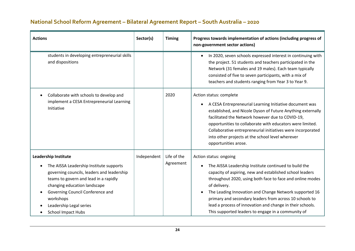| <b>Actions</b>                                                                                                                                                                                                                                                                                         | Sector(s)   | <b>Timing</b>            | Progress towards implementation of actions (including progress of<br>non-government sector actions)                                                                                                                                                                                                                                                                                                                                                              |
|--------------------------------------------------------------------------------------------------------------------------------------------------------------------------------------------------------------------------------------------------------------------------------------------------------|-------------|--------------------------|------------------------------------------------------------------------------------------------------------------------------------------------------------------------------------------------------------------------------------------------------------------------------------------------------------------------------------------------------------------------------------------------------------------------------------------------------------------|
| students in developing entrepreneurial skills<br>and dispositions                                                                                                                                                                                                                                      |             |                          | In 2020, seven schools expressed interest in continuing with<br>$\bullet$<br>the project. 51 students and teachers participated in the<br>Network (31 females and 19 males). Each team typically<br>consisted of five to seven participants, with a mix of<br>teachers and students ranging from Year 3 to Year 9.                                                                                                                                               |
| Collaborate with schools to develop and<br>implement a CESA Entrepreneurial Learning<br>Initiative                                                                                                                                                                                                     |             | 2020                     | Action status: complete<br>A CESA Entrepreneurial Learning Initiative document was<br>$\bullet$<br>established, and Nicole Dyson of Future Anything externally<br>facilitated the Network however due to COVID-19,<br>opportunities to collaborate with educators were limited.<br>Collaborative entrepreneurial initiatives were incorporated<br>into other projects at the school level wherever<br>opportunities arose.                                       |
| <b>Leadership Institute</b><br>The AISSA Leadership Institute supports<br>governing councils, leaders and leadership<br>teams to govern and lead in a rapidly<br>changing education landscape<br>Governing Council Conference and<br>workshops<br>Leadership Legal series<br><b>School Impact Hubs</b> | Independent | Life of the<br>Agreement | Action status: ongoing<br>The AISSA Leadership Institute continued to build the<br>capacity of aspiring, new and established school leaders<br>throughout 2020, using both face to face and online modes<br>of delivery.<br>The Leading Innovation and Change Network supported 16<br>primary and secondary leaders from across 10 schools to<br>lead a process of innovation and change in their schools.<br>This supported leaders to engage in a community of |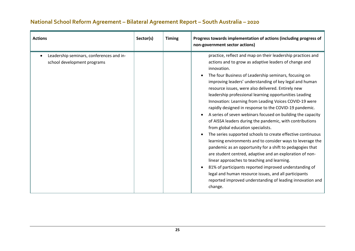| <b>Actions</b>                                                          | Sector(s) | <b>Timing</b> | Progress towards implementation of actions (including progress of<br>non-government sector actions)                                                                                                                                                                                                                                                                                                                                                                                                                                                                                                                                                                                                                                                                                                                                                                                                                                                                                                                                                                                                                                                          |
|-------------------------------------------------------------------------|-----------|---------------|--------------------------------------------------------------------------------------------------------------------------------------------------------------------------------------------------------------------------------------------------------------------------------------------------------------------------------------------------------------------------------------------------------------------------------------------------------------------------------------------------------------------------------------------------------------------------------------------------------------------------------------------------------------------------------------------------------------------------------------------------------------------------------------------------------------------------------------------------------------------------------------------------------------------------------------------------------------------------------------------------------------------------------------------------------------------------------------------------------------------------------------------------------------|
| Leadership seminars, conferences and in-<br>school development programs |           |               | practice, reflect and map on their leadership practices and<br>actions and to grow as adaptive leaders of change and<br>innovation.<br>The four Business of Leadership seminars, focusing on<br>improving leaders' understanding of key legal and human<br>resource issues, were also delivered. Entirely new<br>leadership professional learning opportunities Leading<br>Innovation: Learning from Leading Voices COVID-19 were<br>rapidly designed in response to the COVID-19 pandemic.<br>A series of seven webinars focused on building the capacity<br>of AISSA leaders during the pandemic, with contributions<br>from global education specialists.<br>The series supported schools to create effective continuous<br>learning environments and to consider ways to leverage the<br>pandemic as an opportunity for a shift to pedagogies that<br>are student centred, adaptive and an exploration of non-<br>linear approaches to teaching and learning.<br>81% of participants reported improved understanding of<br>legal and human resource issues, and all participants<br>reported improved understanding of leading innovation and<br>change. |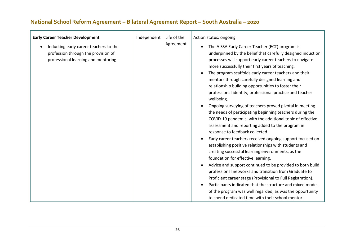| <b>Early Career Teacher Development</b><br>Inducting early career teachers to the<br>profession through the provision of<br>professional learning and mentoring | Independent | Life of the<br>Agreement | Action status: ongoing<br>The AISSA Early Career Teacher (ECT) program is<br>underpinned by the belief that carefully designed induction<br>processes will support early career teachers to navigate<br>more successfully their first years of teaching.<br>The program scaffolds early career teachers and their<br>mentors through carefully designed learning and<br>relationship building opportunities to foster their<br>professional identity, professional practice and teacher<br>wellbeing.<br>Ongoing surveying of teachers proved pivotal in meeting<br>the needs of participating beginning teachers during the<br>COVID-19 pandemic, with the additional topic of effective<br>assessment and reporting added to the program in<br>response to feedback collected.<br>Early career teachers received ongoing support focused on<br>establishing positive relationships with students and<br>creating successful learning environments, as the<br>foundation for effective learning.<br>Advice and support continued to be provided to both build<br>professional networks and transition from Graduate to<br>Proficient career stage (Provisional to Full Registration).<br>Participants indicated that the structure and mixed modes |
|-----------------------------------------------------------------------------------------------------------------------------------------------------------------|-------------|--------------------------|-----------------------------------------------------------------------------------------------------------------------------------------------------------------------------------------------------------------------------------------------------------------------------------------------------------------------------------------------------------------------------------------------------------------------------------------------------------------------------------------------------------------------------------------------------------------------------------------------------------------------------------------------------------------------------------------------------------------------------------------------------------------------------------------------------------------------------------------------------------------------------------------------------------------------------------------------------------------------------------------------------------------------------------------------------------------------------------------------------------------------------------------------------------------------------------------------------------------------------------------------------|
|                                                                                                                                                                 |             |                          | of the program was well regarded, as was the opportunity<br>to spend dedicated time with their school mentor.                                                                                                                                                                                                                                                                                                                                                                                                                                                                                                                                                                                                                                                                                                                                                                                                                                                                                                                                                                                                                                                                                                                                       |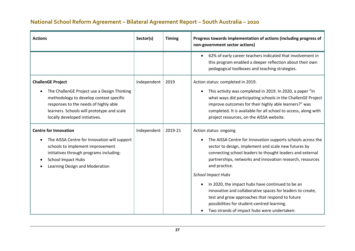| <b>Actions</b>                                                                                                                                                                                                                              | Sector(s)   | <b>Timing</b> | Progress towards implementation of actions (including progress of<br>non-government sector actions)                                                                                                                                                                                                                                                                                                                                                                                                                                                                                                                |
|---------------------------------------------------------------------------------------------------------------------------------------------------------------------------------------------------------------------------------------------|-------------|---------------|--------------------------------------------------------------------------------------------------------------------------------------------------------------------------------------------------------------------------------------------------------------------------------------------------------------------------------------------------------------------------------------------------------------------------------------------------------------------------------------------------------------------------------------------------------------------------------------------------------------------|
|                                                                                                                                                                                                                                             |             |               | 62% of early career teachers indicated that involvement in<br>$\bullet$<br>this program enabled a deeper reflection about their own<br>pedagogical toolboxes and teaching strategies.                                                                                                                                                                                                                                                                                                                                                                                                                              |
| <b>ChallenGE Project</b><br>The ChallenGE Project use a Design Thinking<br>methodology to develop context specific<br>responses to the needs of highly able<br>learners. Schools will prototype and scale<br>locally developed initiatives. | Independent | 2019          | Action status: completed in 2019.<br>This activity was completed in 2019. In 2020, a paper "In<br>$\bullet$<br>what ways did participating schools in the ChallenGE Project<br>improve outcomes for their highly able learners?" was<br>completed. It is available for all school to access, along with<br>project resources, on the AISSA website.                                                                                                                                                                                                                                                                |
| <b>Centre for Innovation</b><br>The AISSA Centre for Innovation will support<br>schools to implement improvement<br>initiatives through programs including:<br><b>School Impact Hubs</b><br>Learning Design and Moderation                  | Independent | 2019-21       | Action status: ongoing<br>The AISSA Centre for Innovation supports schools across the<br>$\bullet$<br>sector to design, implement and scale new futures by<br>connecting school leaders to thought leaders and external<br>partnerships, networks and innovation research, resources<br>and practice.<br><b>School Impact Hubs</b><br>In 2020, the impact hubs have continued to be an<br>$\bullet$<br>innovative and collaborative spaces for leaders to create,<br>test and grow approaches that respond to future<br>possibilities for student-centred learning.<br>Two strands of impact hubs were undertaken: |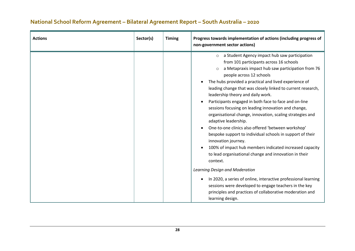| <b>Actions</b> | Sector(s) | <b>Timing</b> | Progress towards implementation of actions (including progress of<br>non-government sector actions)                                                                                                                                                                                                                                                                                                                                                                                                                                                                                                                                                                                                                                                                                                                                                                                |
|----------------|-----------|---------------|------------------------------------------------------------------------------------------------------------------------------------------------------------------------------------------------------------------------------------------------------------------------------------------------------------------------------------------------------------------------------------------------------------------------------------------------------------------------------------------------------------------------------------------------------------------------------------------------------------------------------------------------------------------------------------------------------------------------------------------------------------------------------------------------------------------------------------------------------------------------------------|
|                |           |               | a Student Agency impact hub saw participation<br>$\circ$<br>from 101 participants across 16 schools<br>a Metapraxis impact hub saw participation from 76<br>$\circ$<br>people across 12 schools<br>The hubs provided a practical and lived experience of<br>$\bullet$<br>leading change that was closely linked to current research,<br>leadership theory and daily work.<br>Participants engaged in both face to face and on-line<br>$\bullet$<br>sessions focusing on leading innovation and change,<br>organisational change, innovation, scaling strategies and<br>adaptive leadership.<br>One-to-one clinics also offered 'between workshop'<br>$\bullet$<br>bespoke support to individual schools in support of their<br>innovation journey.<br>100% of impact hub members indicated increased capacity<br>to lead organisational change and innovation in their<br>context. |
|                |           |               | Learning Design and Moderation<br>In 2020, a series of online, interactive professional learning<br>sessions were developed to engage teachers in the key<br>principles and practices of collaborative moderation and<br>learning design.                                                                                                                                                                                                                                                                                                                                                                                                                                                                                                                                                                                                                                          |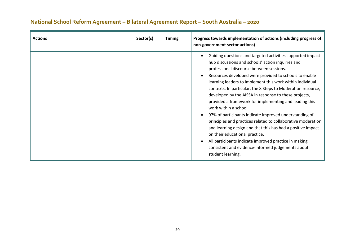| <b>Actions</b> | Sector(s) | <b>Timing</b> | Progress towards implementation of actions (including progress of<br>non-government sector actions)                                                                                                                                                                                                                                                                                                                                                                                                                                                                                                                                                                                                                                                                                                                                                                                    |
|----------------|-----------|---------------|----------------------------------------------------------------------------------------------------------------------------------------------------------------------------------------------------------------------------------------------------------------------------------------------------------------------------------------------------------------------------------------------------------------------------------------------------------------------------------------------------------------------------------------------------------------------------------------------------------------------------------------------------------------------------------------------------------------------------------------------------------------------------------------------------------------------------------------------------------------------------------------|
|                |           |               | Guiding questions and targeted activities supported impact<br>hub discussions and schools' action inquiries and<br>professional discourse between sessions.<br>Resources developed were provided to schools to enable<br>$\bullet$<br>learning leaders to implement this work within individual<br>contexts. In particular, the 8 Steps to Moderation resource,<br>developed by the AISSA in response to these projects,<br>provided a framework for implementing and leading this<br>work within a school.<br>97% of participants indicate improved understanding of<br>$\bullet$<br>principles and practices related to collaborative moderation<br>and learning design and that this has had a positive impact<br>on their educational practice.<br>All participants indicate improved practice in making<br>consistent and evidence-informed judgements about<br>student learning. |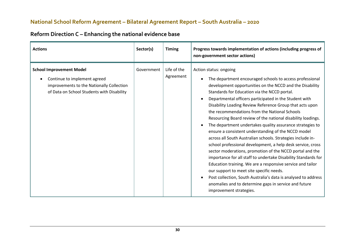| <b>Actions</b>                                                                                                                                             | Sector(s)  | <b>Timing</b>            | Progress towards implementation of actions (including progress of<br>non-government sector actions)                                                                                                                                                                                                                                                                                                                                                                                                                                                                                                                                                                                                                                                                                                                                                                                                                                                                                                                                                                                   |
|------------------------------------------------------------------------------------------------------------------------------------------------------------|------------|--------------------------|---------------------------------------------------------------------------------------------------------------------------------------------------------------------------------------------------------------------------------------------------------------------------------------------------------------------------------------------------------------------------------------------------------------------------------------------------------------------------------------------------------------------------------------------------------------------------------------------------------------------------------------------------------------------------------------------------------------------------------------------------------------------------------------------------------------------------------------------------------------------------------------------------------------------------------------------------------------------------------------------------------------------------------------------------------------------------------------|
| <b>School Improvement Model</b><br>Continue to implement agreed<br>improvements to the Nationally Collection<br>of Data on School Students with Disability | Government | Life of the<br>Agreement | Action status: ongoing<br>The department encouraged schools to access professional<br>development opportunities on the NCCD and the Disability<br>Standards for Education via the NCCD portal.<br>Departmental officers participated in the Student with<br>Disability Loading Review Reference Group that acts upon<br>the recommendations from the National Schools<br>Resourcing Board review of the national disability loadings.<br>The department undertakes quality assurance strategies to<br>ensure a consistent understanding of the NCCD model<br>across all South Australian schools. Strategies include in-<br>school professional development, a help desk service, cross<br>sector moderations, promotion of the NCCD portal and the<br>importance for all staff to undertake Disability Standards for<br>Education training. We are a responsive service and tailor<br>our support to meet site specific needs.<br>Post collection, South Australia's data is analysed to address<br>anomalies and to determine gaps in service and future<br>improvement strategies. |

# **Reform Direction C – Enhancing the national evidence base**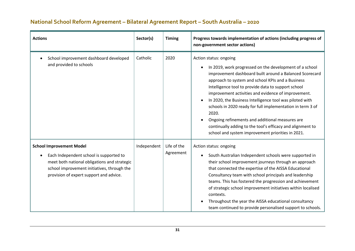| <b>Actions</b>                                                                                                                                                                                                       | Sector(s)   | <b>Timing</b>            | Progress towards implementation of actions (including progress of<br>non-government sector actions)                                                                                                                                                                                                                                                                                                                                                                                                                                                                                                                                                             |
|----------------------------------------------------------------------------------------------------------------------------------------------------------------------------------------------------------------------|-------------|--------------------------|-----------------------------------------------------------------------------------------------------------------------------------------------------------------------------------------------------------------------------------------------------------------------------------------------------------------------------------------------------------------------------------------------------------------------------------------------------------------------------------------------------------------------------------------------------------------------------------------------------------------------------------------------------------------|
| School improvement dashboard developed<br>and provided to schools                                                                                                                                                    | Catholic    | 2020                     | Action status: ongoing<br>In 2019, work progressed on the development of a school<br>$\bullet$<br>improvement dashboard built around a Balanced Scorecard<br>approach to system and school KPIs and a Business<br>Intelligence tool to provide data to support school<br>improvement activities and evidence of improvement.<br>In 2020, the Business Intelligence tool was piloted with<br>$\bullet$<br>schools in 2020 ready for full implementation in term 3 of<br>2020.<br>Ongoing refinements and additional measures are<br>$\bullet$<br>continually adding to the tool's efficacy and alignment to<br>school and system improvement priorities in 2021. |
| <b>School Improvement Model</b><br>Each Independent school is supported to<br>meet both national obligations and strategic<br>school improvement initiatives, through the<br>provision of expert support and advice. | Independent | Life of the<br>Agreement | Action status: ongoing<br>South Australian Independent schools were supported in<br>$\bullet$<br>their school improvement journeys through an approach<br>that connected the expertise of the AISSA Educational<br>Consultancy team with school principals and leadership<br>teams. This has fostered the progression and achievement<br>of strategic school improvement initiatives within localised<br>contexts.<br>Throughout the year the AISSA educational consultancy<br>team continued to provide personalised support to schools.                                                                                                                       |